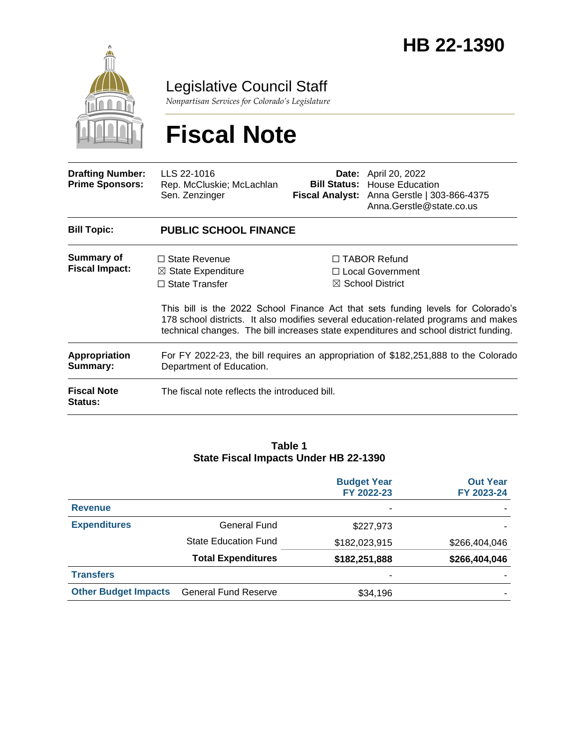

Legislative Council Staff

*Nonpartisan Services for Colorado's Legislature*

# **Fiscal Note**

| <b>Drafting Number:</b><br><b>Prime Sponsors:</b> | LLS 22-1016<br>Rep. McCluskie; McLachlan<br>Sen. Zenzinger                                                      |  | <b>Date:</b> April 20, 2022<br><b>Bill Status: House Education</b><br>Fiscal Analyst: Anna Gerstle   303-866-4375<br>Anna.Gerstle@state.co.us                                                                                                                                                                                                     |  |
|---------------------------------------------------|-----------------------------------------------------------------------------------------------------------------|--|---------------------------------------------------------------------------------------------------------------------------------------------------------------------------------------------------------------------------------------------------------------------------------------------------------------------------------------------------|--|
| <b>Bill Topic:</b>                                | <b>PUBLIC SCHOOL FINANCE</b>                                                                                    |  |                                                                                                                                                                                                                                                                                                                                                   |  |
| Summary of<br><b>Fiscal Impact:</b>               | $\Box$ State Revenue<br>$\boxtimes$ State Expenditure<br>$\Box$ State Transfer                                  |  | $\Box$ TABOR Refund<br>$\Box$ Local Government<br>$\boxtimes$ School District<br>This bill is the 2022 School Finance Act that sets funding levels for Colorado's<br>178 school districts. It also modifies several education-related programs and makes<br>technical changes. The bill increases state expenditures and school district funding. |  |
| <b>Appropriation</b><br>Summary:                  | For FY 2022-23, the bill requires an appropriation of \$182,251,888 to the Colorado<br>Department of Education. |  |                                                                                                                                                                                                                                                                                                                                                   |  |
| <b>Fiscal Note</b><br><b>Status:</b>              | The fiscal note reflects the introduced bill.                                                                   |  |                                                                                                                                                                                                                                                                                                                                                   |  |

### **Table 1 State Fiscal Impacts Under HB 22-1390**

|                             |                             | <b>Budget Year</b><br>FY 2022-23 | <b>Out Year</b><br>FY 2023-24 |
|-----------------------------|-----------------------------|----------------------------------|-------------------------------|
| <b>Revenue</b>              |                             | ٠                                |                               |
| <b>Expenditures</b>         | General Fund                | \$227,973                        |                               |
|                             | <b>State Education Fund</b> | \$182,023,915                    | \$266,404,046                 |
|                             | <b>Total Expenditures</b>   | \$182,251,888                    | \$266,404,046                 |
| <b>Transfers</b>            |                             | ٠                                |                               |
| <b>Other Budget Impacts</b> | <b>General Fund Reserve</b> | \$34,196                         |                               |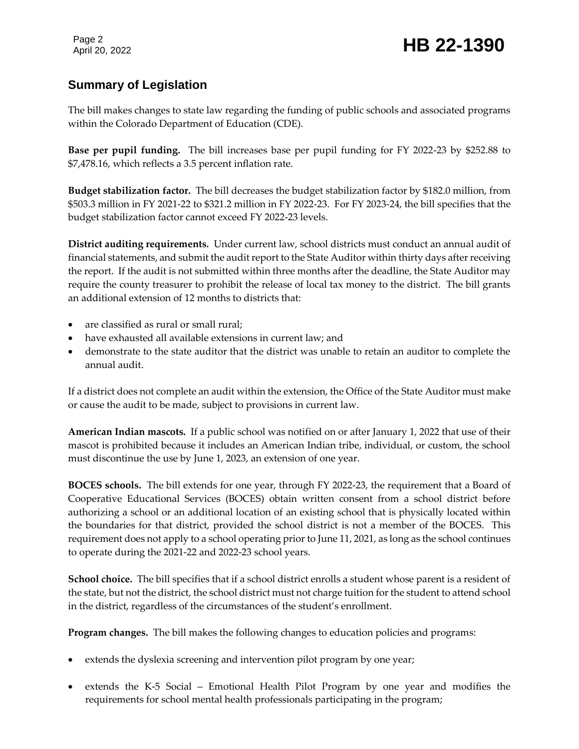Page 2

## **Summary of Legislation**

The bill makes changes to state law regarding the funding of public schools and associated programs within the Colorado Department of Education (CDE).

**Base per pupil funding.** The bill increases base per pupil funding for FY 2022-23 by \$252.88 to \$7,478.16, which reflects a 3.5 percent inflation rate.

**Budget stabilization factor.** The bill decreases the budget stabilization factor by \$182.0 million, from \$503.3 million in FY 2021-22 to \$321.2 million in FY 2022-23. For FY 2023-24, the bill specifies that the budget stabilization factor cannot exceed FY 2022-23 levels.

**District auditing requirements.** Under current law, school districts must conduct an annual audit of financial statements, and submit the audit report to the State Auditor within thirty days after receiving the report. If the audit is not submitted within three months after the deadline, the State Auditor may require the county treasurer to prohibit the release of local tax money to the district. The bill grants an additional extension of 12 months to districts that:

- are classified as rural or small rural;
- have exhausted all available extensions in current law; and
- demonstrate to the state auditor that the district was unable to retain an auditor to complete the annual audit.

If a district does not complete an audit within the extension, the Office of the State Auditor must make or cause the audit to be made, subject to provisions in current law.

**American Indian mascots.** If a public school was notified on or after January 1, 2022 that use of their mascot is prohibited because it includes an American Indian tribe, individual, or custom, the school must discontinue the use by June 1, 2023, an extension of one year.

**BOCES schools.** The bill extends for one year, through FY 2022-23, the requirement that a Board of Cooperative Educational Services (BOCES) obtain written consent from a school district before authorizing a school or an additional location of an existing school that is physically located within the boundaries for that district, provided the school district is not a member of the BOCES. This requirement does not apply to a school operating prior to June 11, 2021, as long as the school continues to operate during the 2021-22 and 2022-23 school years.

**School choice.** The bill specifies that if a school district enrolls a student whose parent is a resident of the state, but not the district, the school district must not charge tuition for the student to attend school in the district, regardless of the circumstances of the student's enrollment.

**Program changes.** The bill makes the following changes to education policies and programs:

- extends the dyslexia screening and intervention pilot program by one year;
- extends the K-5 Social Emotional Health Pilot Program by one year and modifies the requirements for school mental health professionals participating in the program;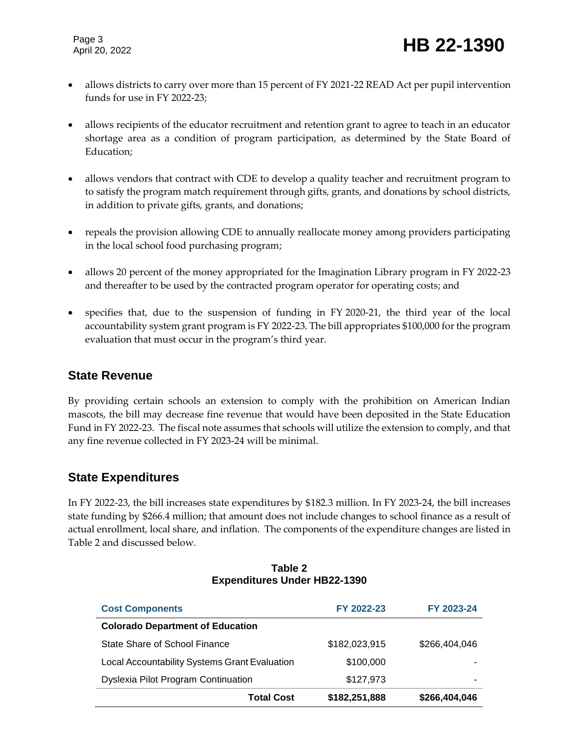- allows districts to carry over more than 15 percent of FY 2021-22 READ Act per pupil intervention funds for use in FY 2022-23;
- allows recipients of the educator recruitment and retention grant to agree to teach in an educator shortage area as a condition of program participation, as determined by the State Board of Education;
- allows vendors that contract with CDE to develop a quality teacher and recruitment program to to satisfy the program match requirement through gifts, grants, and donations by school districts, in addition to private gifts, grants, and donations;
- repeals the provision allowing CDE to annually reallocate money among providers participating in the local school food purchasing program;
- allows 20 percent of the money appropriated for the Imagination Library program in FY 2022-23 and thereafter to be used by the contracted program operator for operating costs; and
- specifies that, due to the suspension of funding in FY 2020-21, the third year of the local accountability system grant program is FY 2022-23. The bill appropriates \$100,000 for the program evaluation that must occur in the program's third year.

### **State Revenue**

By providing certain schools an extension to comply with the prohibition on American Indian mascots, the bill may decrease fine revenue that would have been deposited in the State Education Fund in FY 2022-23. The fiscal note assumes that schools will utilize the extension to comply, and that any fine revenue collected in FY 2023-24 will be minimal.

### **State Expenditures**

In FY 2022-23, the bill increases state expenditures by \$182.3 million. In FY 2023-24, the bill increases state funding by \$266.4 million; that amount does not include changes to school finance as a result of actual enrollment, local share, and inflation. The components of the expenditure changes are listed in Table 2 and discussed below.

| <b>Cost Components</b>                               | FY 2022-23    | FY 2023-24    |
|------------------------------------------------------|---------------|---------------|
| <b>Colorado Department of Education</b>              |               |               |
| State Share of School Finance                        | \$182,023,915 | \$266,404,046 |
| <b>Local Accountability Systems Grant Evaluation</b> | \$100,000     |               |
| <b>Dyslexia Pilot Program Continuation</b>           | \$127,973     |               |
| <b>Total Cost</b>                                    | \$182,251,888 | \$266,404,046 |

#### **Table 2 Expenditures Under HB22-1390**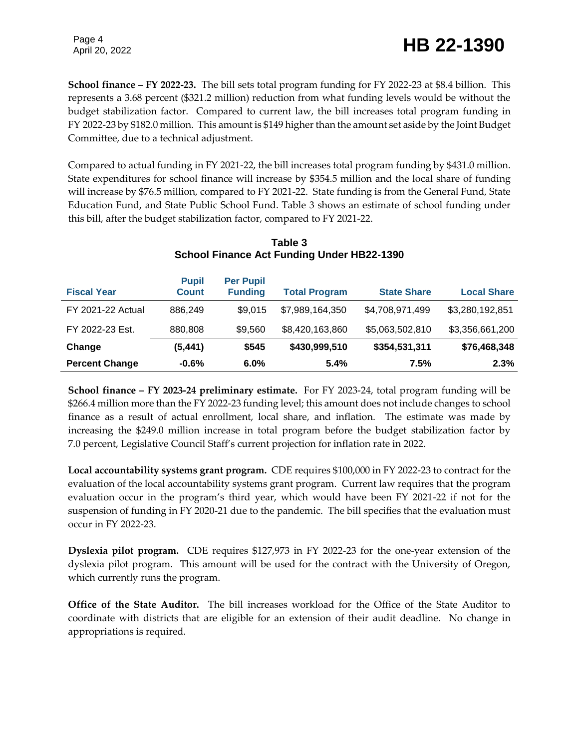**School finance – FY 2022-23.** The bill sets total program funding for FY 2022-23 at \$8.4 billion. This represents a 3.68 percent (\$321.2 million) reduction from what funding levels would be without the budget stabilization factor. Compared to current law, the bill increases total program funding in FY 2022-23 by \$182.0 million. This amount is \$149 higher than the amount set aside by the Joint Budget Committee, due to a technical adjustment.

Compared to actual funding in FY 2021-22, the bill increases total program funding by \$431.0 million. State expenditures for school finance will increase by \$354.5 million and the local share of funding will increase by \$76.5 million, compared to FY 2021-22. State funding is from the General Fund, State Education Fund, and State Public School Fund. Table 3 shows an estimate of school funding under this bill, after the budget stabilization factor, compared to FY 2021-22.

| <b>Fiscal Year</b>       | <b>Pupil</b><br><b>Count</b> | <b>Per Pupil</b><br><b>Funding</b> | <b>Total Program</b> | <b>State Share</b> | <b>Local Share</b> |
|--------------------------|------------------------------|------------------------------------|----------------------|--------------------|--------------------|
| <b>FY 2021-22 Actual</b> | 886,249                      | \$9,015                            | \$7,989,164,350      | \$4,708,971,499    | \$3,280,192,851    |
| FY 2022-23 Est.          | 880,808                      | \$9,560                            | \$8,420,163,860      | \$5,063,502,810    | \$3,356,661,200    |
| Change                   | (5, 441)                     | \$545                              | \$430,999,510        | \$354,531,311      | \$76,468,348       |
| <b>Percent Change</b>    | $-0.6%$                      | 6.0%                               | 5.4%                 | 7.5%               | 2.3%               |

### **Table 3 School Finance Act Funding Under HB22-1390**

**School finance – FY 2023-24 preliminary estimate.** For FY 2023-24, total program funding will be \$266.4 million more than the FY 2022-23 funding level; this amount does not include changes to school finance as a result of actual enrollment, local share, and inflation. The estimate was made by increasing the \$249.0 million increase in total program before the budget stabilization factor by 7.0 percent, Legislative Council Staff's current projection for inflation rate in 2022.

**Local accountability systems grant program.** CDE requires \$100,000 in FY 2022-23 to contract for the evaluation of the local accountability systems grant program. Current law requires that the program evaluation occur in the program's third year, which would have been FY 2021-22 if not for the suspension of funding in FY 2020-21 due to the pandemic. The bill specifies that the evaluation must occur in FY 2022-23.

**Dyslexia pilot program.** CDE requires \$127,973 in FY 2022-23 for the one-year extension of the dyslexia pilot program. This amount will be used for the contract with the University of Oregon, which currently runs the program.

**Office of the State Auditor.** The bill increases workload for the Office of the State Auditor to coordinate with districts that are eligible for an extension of their audit deadline. No change in appropriations is required.